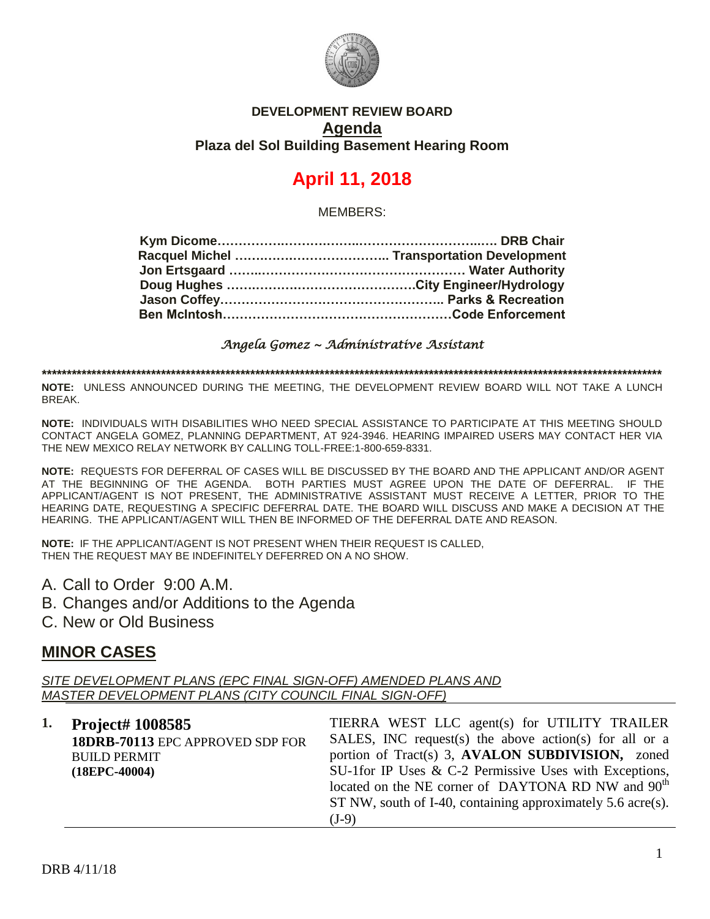

#### **DEVELOPMENT REVIEW BOARD Agenda Plaza del Sol Building Basement Hearing Room**

# **April 11, 2018**

MEMBERS:

#### *Angela Gomez ~ Administrative Assistant*

**\*\*\*\*\*\*\*\*\*\*\*\*\*\*\*\*\*\*\*\*\*\*\*\*\*\*\*\*\*\*\*\*\*\*\*\*\*\*\*\*\*\*\*\*\*\*\*\*\*\*\*\*\*\*\*\*\*\*\*\*\*\*\*\*\*\*\*\*\*\*\*\*\*\*\*\*\*\*\*\*\*\*\*\*\*\*\*\*\*\*\*\*\*\*\*\*\*\*\*\*\*\*\*\*\*\*\*\*\*\*\*\*\*\*\*\*\*\*\*\*\*\*\*\*\***

**NOTE:** UNLESS ANNOUNCED DURING THE MEETING, THE DEVELOPMENT REVIEW BOARD WILL NOT TAKE A LUNCH BREAK.

**NOTE:** INDIVIDUALS WITH DISABILITIES WHO NEED SPECIAL ASSISTANCE TO PARTICIPATE AT THIS MEETING SHOULD CONTACT ANGELA GOMEZ, PLANNING DEPARTMENT, AT 924-3946. HEARING IMPAIRED USERS MAY CONTACT HER VIA THE NEW MEXICO RELAY NETWORK BY CALLING TOLL-FREE:1-800-659-8331.

**NOTE:** REQUESTS FOR DEFERRAL OF CASES WILL BE DISCUSSED BY THE BOARD AND THE APPLICANT AND/OR AGENT AT THE BEGINNING OF THE AGENDA. BOTH PARTIES MUST AGREE UPON THE DATE OF DEFERRAL. IF THE APPLICANT/AGENT IS NOT PRESENT, THE ADMINISTRATIVE ASSISTANT MUST RECEIVE A LETTER, PRIOR TO THE HEARING DATE, REQUESTING A SPECIFIC DEFERRAL DATE. THE BOARD WILL DISCUSS AND MAKE A DECISION AT THE HEARING. THE APPLICANT/AGENT WILL THEN BE INFORMED OF THE DEFERRAL DATE AND REASON.

**NOTE:** IF THE APPLICANT/AGENT IS NOT PRESENT WHEN THEIR REQUEST IS CALLED, THEN THE REQUEST MAY BE INDEFINITELY DEFERRED ON A NO SHOW.

- A. Call to Order 9:00 A.M.
- B. Changes and/or Additions to the Agenda
- C. New or Old Business

### **MINOR CASES**

*SITE DEVELOPMENT PLANS (EPC FINAL SIGN-OFF) AMENDED PLANS AND MASTER DEVELOPMENT PLANS (CITY COUNCIL FINAL SIGN-OFF)*

| 1. Project# 1008585              | TIERRA WEST LLC agent(s) for UTILITY TRAILER                   |
|----------------------------------|----------------------------------------------------------------|
| 18DRB-70113 EPC APPROVED SDP FOR | SALES, INC request(s) the above action(s) for all or a         |
| <b>BUILD PERMIT</b>              | portion of Tract(s) 3, AVALON SUBDIVISION, zoned               |
| $(18EPC-40004)$                  | SU-1for IP Uses & C-2 Permissive Uses with Exceptions,         |
|                                  | located on the NE corner of DAYTONA RD NW and 90 <sup>th</sup> |
|                                  | ST NW, south of I-40, containing approximately 5.6 acre(s).    |
|                                  | $(J-9)$                                                        |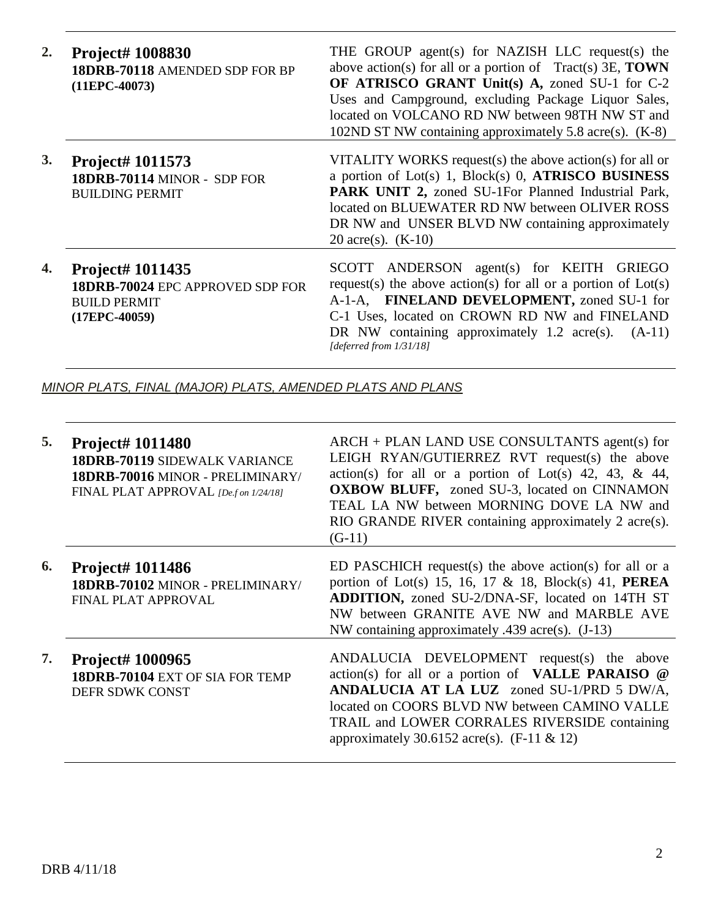| 2. | <b>Project# 1008830</b><br>18DRB-70118 AMENDED SDP FOR BP<br>$(11EPC-40073)$                          | THE GROUP agent(s) for NAZISH LLC request(s) the<br>above action(s) for all or a portion of $\text{Tract}(s)$ 3E, <b>TOWN</b><br>OF ATRISCO GRANT Unit(s) A, zoned SU-1 for C-2<br>Uses and Campground, excluding Package Liquor Sales,<br>located on VOLCANO RD NW between 98TH NW ST and<br>102ND ST NW containing approximately 5.8 acre(s). (K-8) |
|----|-------------------------------------------------------------------------------------------------------|-------------------------------------------------------------------------------------------------------------------------------------------------------------------------------------------------------------------------------------------------------------------------------------------------------------------------------------------------------|
| 3. | Project# 1011573<br>18DRB-70114 MINOR - SDP FOR<br><b>BUILDING PERMIT</b>                             | VITALITY WORKS request(s) the above action(s) for all or<br>a portion of Lot(s) 1, Block(s) 0, ATRISCO BUSINESS<br>PARK UNIT 2, zoned SU-1For Planned Industrial Park,<br>located on BLUEWATER RD NW between OLIVER ROSS<br>DR NW and UNSER BLVD NW containing approximately<br>20 acre(s). $(K-10)$                                                  |
| 4. | <b>Project# 1011435</b><br>18DRB-70024 EPC APPROVED SDP FOR<br><b>BUILD PERMIT</b><br>$(17EPC-40059)$ | SCOTT ANDERSON agent(s) for KEITH GRIEGO<br>request(s) the above action(s) for all or a portion of $Lot(s)$<br>A-1-A, FINELAND DEVELOPMENT, zoned SU-1 for<br>C-1 Uses, located on CROWN RD NW and FINELAND<br>DR NW containing approximately $1.2$ acre(s).<br>$(A-11)$<br>[deferred from 1/31/18]                                                   |

*MINOR PLATS, FINAL (MAJOR) PLATS, AMENDED PLATS AND PLANS*

| 5. | <b>Project# 1011480</b><br><b>18DRB-70119 SIDEWALK VARIANCE</b><br>18DRB-70016 MINOR - PRELIMINARY/<br>FINAL PLAT APPROVAL [De.f on 1/24/18] | ARCH + PLAN LAND USE CONSULTANTS agent(s) for<br>LEIGH RYAN/GUTIERREZ RVT request(s) the above<br>action(s) for all or a portion of Lot(s) 42, 43, & 44,<br><b>OXBOW BLUFF,</b> zoned SU-3, located on CINNAMON<br>TEAL LA NW between MORNING DOVE LA NW and<br>RIO GRANDE RIVER containing approximately 2 acre(s).<br>$(G-11)$ |
|----|----------------------------------------------------------------------------------------------------------------------------------------------|----------------------------------------------------------------------------------------------------------------------------------------------------------------------------------------------------------------------------------------------------------------------------------------------------------------------------------|
| 6. | <b>Project# 1011486</b><br>18DRB-70102 MINOR - PRELIMINARY/<br>FINAL PLAT APPROVAL                                                           | ED PASCHICH request(s) the above action(s) for all or a<br>portion of Lot(s) 15, 16, 17 & 18, Block(s) 41, <b>PEREA</b><br><b>ADDITION, zoned SU-2/DNA-SF, located on 14TH ST</b><br>NW between GRANITE AVE NW and MARBLE AVE<br>NW containing approximately .439 acre(s). $(J-13)$                                              |
| 7. | <b>Project# 1000965</b><br>18DRB-70104 EXT OF SIA FOR TEMP<br>DEFR SDWK CONST                                                                | ANDALUCIA DEVELOPMENT request(s) the above<br>action(s) for all or a portion of VALLE PARAISO @<br>ANDALUCIA AT LA LUZ zoned SU-1/PRD 5 DW/A,<br>located on COORS BLVD NW between CAMINO VALLE<br>TRAIL and LOWER CORRALES RIVERSIDE containing<br>approximately 30.6152 acre(s). $(F-11 \& 12)$                                 |